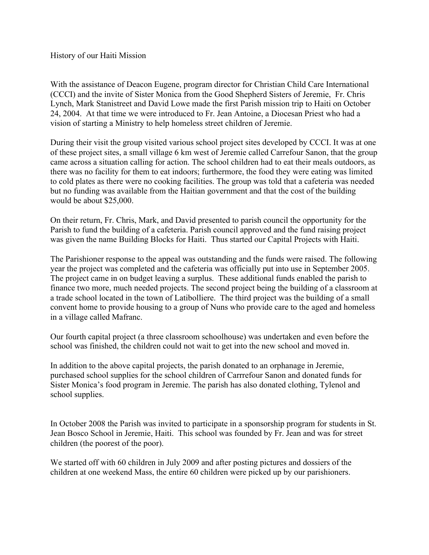History of our Haiti Mission

With the assistance of Deacon Eugene, program director for Christian Child Care International (CCCI) and the invite of Sister Monica from the Good Shepherd Sisters of Jeremie, Fr. Chris Lynch, Mark Stanistreet and David Lowe made the first Parish mission trip to Haiti on October 24, 2004. At that time we were introduced to Fr. Jean Antoine, a Diocesan Priest who had a vision of starting a Ministry to help homeless street children of Jeremie.

During their visit the group visited various school project sites developed by CCCI. It was at one of these project sites, a small village 6 km west of Jeremie called Carrefour Sanon, that the group came across a situation calling for action. The school children had to eat their meals outdoors, as there was no facility for them to eat indoors; furthermore, the food they were eating was limited to cold plates as there were no cooking facilities. The group was told that a cafeteria was needed but no funding was available from the Haitian government and that the cost of the building would be about \$25,000.

On their return, Fr. Chris, Mark, and David presented to parish council the opportunity for the Parish to fund the building of a cafeteria. Parish council approved and the fund raising project was given the name Building Blocks for Haiti. Thus started our Capital Projects with Haiti.

The Parishioner response to the appeal was outstanding and the funds were raised. The following year the project was completed and the cafeteria was officially put into use in September 2005. The project came in on budget leaving a surplus. These additional funds enabled the parish to finance two more, much needed projects. The second project being the building of a classroom at a trade school located in the town of Latibolliere. The third project was the building of a small convent home to provide housing to a group of Nuns who provide care to the aged and homeless in a village called Mafranc.

Our fourth capital project (a three classroom schoolhouse) was undertaken and even before the school was finished, the children could not wait to get into the new school and moved in.

In addition to the above capital projects, the parish donated to an orphanage in Jeremie, purchased school supplies for the school children of Carrrefour Sanon and donated funds for Sister Monica's food program in Jeremie. The parish has also donated clothing, Tylenol and school supplies.

In October 2008 the Parish was invited to participate in a sponsorship program for students in St. Jean Bosco School in Jeremie, Haiti. This school was founded by Fr. Jean and was for street children (the poorest of the poor).

We started off with 60 children in July 2009 and after posting pictures and dossiers of the children at one weekend Mass, the entire 60 children were picked up by our parishioners.